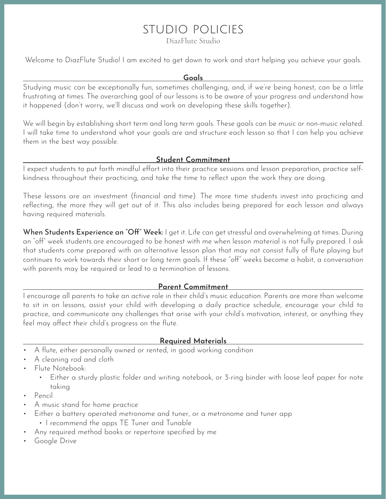# studio policies

DiazFlute Studio

Welcome to DiazFlute Studio! I am excited to get down to work and start helping you achieve your goals.

#### **Goals**

Studying music can be exceptionally fun, sometimes challenging, and, if we're being honest, can be a little frustrating at times. The overarching goal of our lessons is to be aware of your progress and understand how it happened (don't worry, we'll discuss and work on developing these skills together).

We will begin by establishing short term and long term goals. These goals can be music or non-music related. I will take time to understand what your goals are and structure each lesson so that I can help you achieve them in the best way possible.

# **Student Commitment**

I expect students to put forth mindful effort into their practice sessions and lesson preparation, practice selfkindness throughout their practicing, and take the time to reflect upon the work they are doing.

These lessons are an investment (financial and time). The more time students invest into practicing and reflecting, the more they will get out of it. This also includes being prepared for each lesson and always having required materials.

When Students Experience an "Off" Week: I get it. Life can get stressful and overwhelming at times. During an "off" week students are encouraged to be honest with me when lesson material is not fully prepared. I ask that students come prepared with an alternative lesson plan that may not consist fully of flute playing but continues to work towards their short or long term goals. If these "off" weeks become a habit, a conversation with parents may be required or lead to a termination of lessons.

# **Parent Commitment**

I encourage all parents to take an active role in their child's music education. Parents are more than welcome to sit in on lessons, assist your child with developing a daily practice schedule, encourage your child to practice, and communicate any challenges that arise with your child's motivation, interest, or anything they feel may affect their child's progress on the flute.

# **Required Materials**

- A flute, either personally owned or rented, in good working condition
- A cleaning rod and cloth
- Flute Notebook:
	- Either a sturdy plastic folder and writing notebook, or 3-ring binder with loose leaf paper for note taking
- Pencil
- A music stand for home practice
- Either a battery operated metronome and tuner, or a metronome and tuner app
	- I recommend the apps TE Tuner and Tunable
- Any required method books or repertoire specified by me
- Google Drive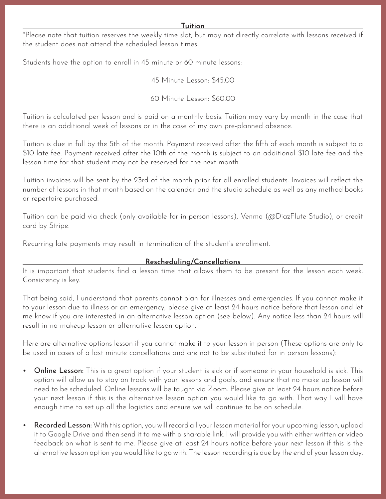\*Please note that tuition reserves the weekly time slot, but may not directly correlate with lessons received if the student does not attend the scheduled lesson times.

Students have the option to enroll in 45 minute or 60 minute lessons:

45 Minute Lesson: \$45.00

60 Minute Lesson: \$60.00

Tuition is calculated per lesson and is paid on a monthly basis. Tuition may vary by month in the case that there is an additional week of lessons or in the case of my own pre-planned absence.

Tuition is due in full by the 5th of the month. Payment received after the fifth of each month is subject to a \$10 late fee. Payment received after the 10th of the month is subject to an additional \$10 late fee and the lesson time for that student may not be reserved for the next month.

Tuition invoices will be sent by the 23rd of the month prior for all enrolled students. Invoices will reflect the number of lessons in that month based on the calendar and the studio schedule as well as any method books or repertoire purchased.

Tuition can be paid via check (only available for in-person lessons), Venmo (@DiazFlute-Studio), or credit card by Stripe.

Recurring late payments may result in termination of the student's enrollment.

# **Rescheduling/Cancellations**

It is important that students find a lesson time that allows them to be present for the lesson each week. Consistency is key.

That being said, I understand that parents cannot plan for illnesses and emergencies. If you cannot make it to your lesson due to illness or an emergency, please give at least 24-hours notice before that lesson and let me know if you are interested in an alternative lesson option (see below). Any notice less than 24 hours will result in no makeup lesson or alternative lesson option.

Here are alternative options lesson if you cannot make it to your lesson in person (These options are only to be used in cases of a last minute cancellations and are not to be substituted for in person lessons):

- Online Lesson: This is a great option if your student is sick or if someone in your household is sick. This option will allow us to stay on track with your lessons and goals, and ensure that no make up lesson will need to be scheduled. Online lessons will be taught via Zoom. Please give at least 24 hours notice before your next lesson if this is the alternative lesson option you would like to go with. That way I will have enough time to set up all the logistics and ensure we will continue to be on schedule.
- Recorded Lesson: With this option, you will record all your lesson material for your upcoming lesson, upload it to Google Drive and then send it to me with a sharable link. I will provide you with either written or video feedback on what is sent to me. Please give at least 24 hours notice before your next lesson if this is the alternative lesson option you would like to go with. The lesson recording is due by the end of your lesson day.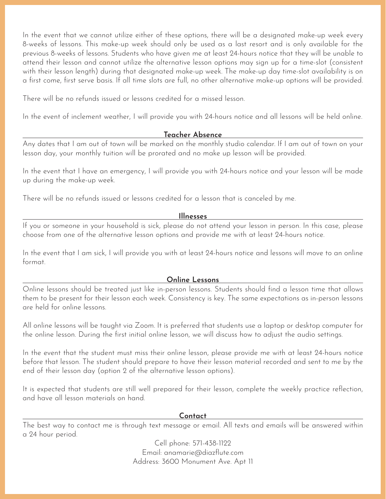In the event that we cannot utilize either of these options, there will be a designated make-up week every 8-weeks of lessons. This make-up week should only be used as a last resort and is only available for the previous 8-weeks of lessons. Students who have given me at least 24-hours notice that they will be unable to attend their lesson and cannot utilize the alternative lesson options may sign up for a time-slot (consistent with their lesson length) during that designated make-up week. The make-up day time-slot availability is on a first come, first serve basis. If all time slots are full, no other alternative make-up options will be provided.

There will be no refunds issued or lessons credited for a missed lesson.

In the event of inclement weather, I will provide you with 24-hours notice and all lessons will be held online.

# **Teacher Absence**

Any dates that I am out of town will be marked on the monthly studio calendar. If I am out of town on your lesson day, your monthly tuition will be prorated and no make up lesson will be provided.

In the event that I have an emergency, I will provide you with 24-hours notice and your lesson will be made up during the make-up week.

There will be no refunds issued or lessons credited for a lesson that is canceled by me.

# **Illnesses**

If you or someone in your household is sick, please do not attend your lesson in person. In this case, please choose from one of the alternative lesson options and provide me with at least 24-hours notice.

In the event that I am sick, I will provide you with at least 24-hours notice and lessons will move to an online format.

# **Online Lessons**

Online lessons should be treated just like in-person lessons. Students should find a lesson time that allows them to be present for their lesson each week. Consistency is key. The same expectations as in-person lessons are held for online lessons.

All online lessons will be taught via Zoom. It is preferred that students use a laptop or desktop computer for the online lesson. During the first initial online lesson, we will discuss how to adjust the audio settings.

In the event that the student must miss their online lesson, please provide me with at least 24-hours notice before that lesson. The student should prepare to have their lesson material recorded and sent to me by the end of their lesson day (option 2 of the alternative lesson options).

It is expected that students are still well prepared for their lesson, complete the weekly practice reflection, and have all lesson materials on hand.

#### **Contact**

The best way to contact me is through text message or email. All texts and emails will be answered within a 24 hour period.

> Cell phone: 571-438-1122 Email: anamarie@diazflute.com Address: 3600 Monument Ave. Apt 11